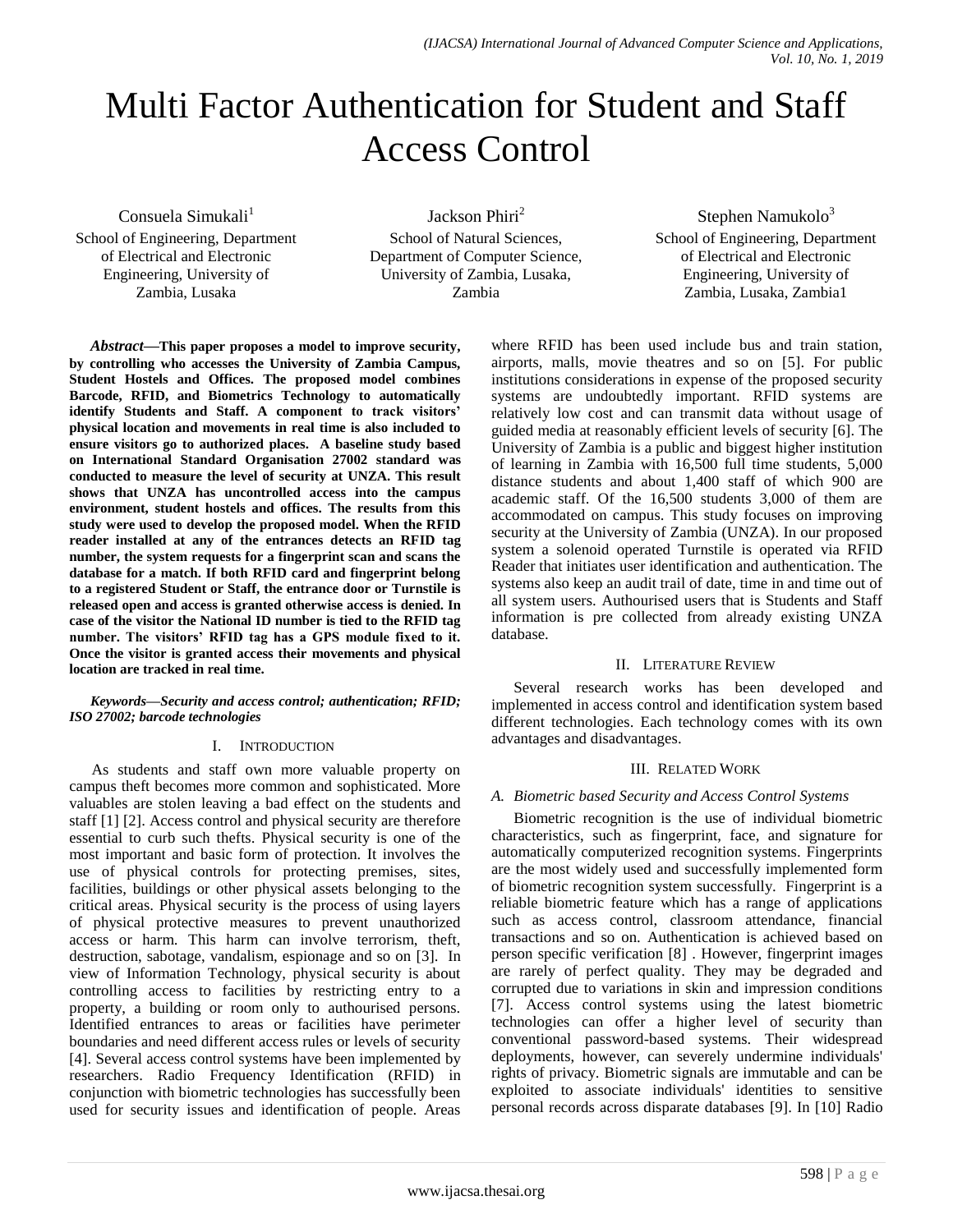# Multi Factor Authentication for Student and Staff Access Control

Consuela Simukali $<sup>1</sup>$ </sup>

School of Engineering, Department of Electrical and Electronic Engineering, University of Zambia, Lusaka

Jackson Phiri<sup>2</sup> School of Natural Sciences, Department of Computer Science, University of Zambia, Lusaka, Zambia

Stephen Namukolo $3$ School of Engineering, Department of Electrical and Electronic Engineering, University of Zambia, Lusaka, Zambia1

*Abstract***—This paper proposes a model to improve security, by controlling who accesses the University of Zambia Campus, Student Hostels and Offices. The proposed model combines Barcode, RFID, and Biometrics Technology to automatically identify Students and Staff. A component to track visitors' physical location and movements in real time is also included to ensure visitors go to authorized places. A baseline study based on International Standard Organisation 27002 standard was conducted to measure the level of security at UNZA. This result shows that UNZA has uncontrolled access into the campus environment, student hostels and offices. The results from this study were used to develop the proposed model. When the RFID reader installed at any of the entrances detects an RFID tag number, the system requests for a fingerprint scan and scans the database for a match. If both RFID card and fingerprint belong to a registered Student or Staff, the entrance door or Turnstile is released open and access is granted otherwise access is denied. In case of the visitor the National ID number is tied to the RFID tag number. The visitors' RFID tag has a GPS module fixed to it. Once the visitor is granted access their movements and physical location are tracked in real time.**

*Keywords—Security and access control; authentication; RFID; ISO 27002; barcode technologies*

#### I. INTRODUCTION

As students and staff own more valuable property on campus theft becomes more common and sophisticated. More valuables are stolen leaving a bad effect on the students and staff [1] [2]. Access control and physical security are therefore essential to curb such thefts. Physical security is one of the most important and basic form of protection. It involves the use of physical controls for protecting premises, sites, facilities, buildings or other physical assets belonging to the critical areas. Physical security is the process of using layers of physical protective measures to prevent unauthorized access or harm. This harm can involve terrorism, theft, destruction, sabotage, vandalism, espionage and so on [3]. In view of Information Technology, physical security is about controlling access to facilities by restricting entry to a property, a building or room only to authourised persons. Identified entrances to areas or facilities have perimeter boundaries and need different access rules or levels of security [4]. Several access control systems have been implemented by researchers. Radio Frequency Identification (RFID) in conjunction with biometric technologies has successfully been used for security issues and identification of people. Areas where RFID has been used include bus and train station, airports, malls, movie theatres and so on [5]. For public institutions considerations in expense of the proposed security systems are undoubtedly important. RFID systems are relatively low cost and can transmit data without usage of guided media at reasonably efficient levels of security [6]. The University of Zambia is a public and biggest higher institution of learning in Zambia with 16,500 full time students, 5,000 distance students and about 1,400 staff of which 900 are academic staff. Of the 16,500 students 3,000 of them are accommodated on campus. This study focuses on improving security at the University of Zambia (UNZA). In our proposed system a solenoid operated Turnstile is operated via RFID Reader that initiates user identification and authentication. The systems also keep an audit trail of date, time in and time out of all system users. Authourised users that is Students and Staff information is pre collected from already existing UNZA database.

## II. LITERATURE REVIEW

Several research works has been developed and implemented in access control and identification system based different technologies. Each technology comes with its own advantages and disadvantages.

#### III. RELATED WORK

## *A. Biometric based Security and Access Control Systems*

Biometric recognition is the use of individual biometric characteristics, such as fingerprint, face, and signature for automatically computerized recognition systems. Fingerprints are the most widely used and successfully implemented form of biometric recognition system successfully. Fingerprint is a reliable biometric feature which has a range of applications such as access control, classroom attendance, financial transactions and so on. Authentication is achieved based on person specific verification [8] . However, fingerprint images are rarely of perfect quality. They may be degraded and corrupted due to variations in skin and impression conditions [7]. Access control systems using the latest biometric technologies can offer a higher level of security than conventional password-based systems. Their widespread deployments, however, can severely undermine individuals' rights of privacy. Biometric signals are immutable and can be exploited to associate individuals' identities to sensitive personal records across disparate databases [9]. In [10] Radio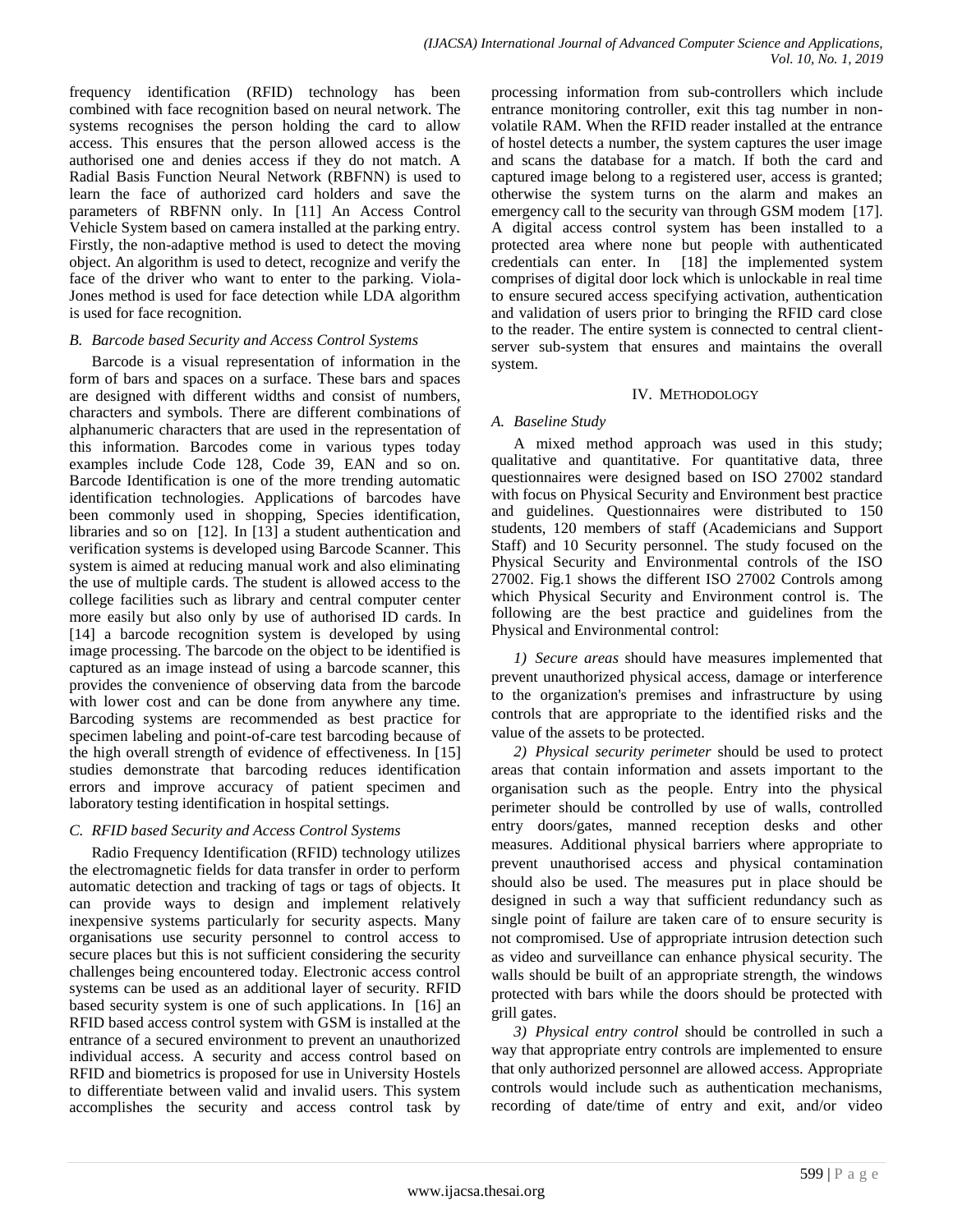frequency identification (RFID) technology has been combined with face recognition based on neural network. The systems recognises the person holding the card to allow access. This ensures that the person allowed access is the authorised one and denies access if they do not match. A Radial Basis Function Neural Network (RBFNN) is used to learn the face of authorized card holders and save the parameters of RBFNN only. In [11] An Access Control Vehicle System based on camera installed at the parking entry. Firstly, the non-adaptive method is used to detect the moving object. An algorithm is used to detect, recognize and verify the face of the driver who want to enter to the parking. Viola-Jones method is used for face detection while LDA algorithm is used for face recognition.

#### *B. Barcode based Security and Access Control Systems*

Barcode is a visual representation of information in the form of bars and spaces on a surface. These bars and spaces are designed with different widths and consist of numbers, characters and symbols. There are different combinations of alphanumeric characters that are used in the representation of this information. Barcodes come in various types today examples include Code 128, Code 39, EAN and so on. Barcode Identification is one of the more trending automatic identification technologies. Applications of barcodes have been commonly used in shopping, Species identification, libraries and so on [12]. In [13] a student authentication and verification systems is developed using Barcode Scanner. This system is aimed at reducing manual work and also eliminating the use of multiple cards. The student is allowed access to the college facilities such as library and central computer center more easily but also only by use of authorised ID cards. In [14] a barcode recognition system is developed by using image processing. The barcode on the object to be identified is captured as an image instead of using a barcode scanner, this provides the convenience of observing data from the barcode with lower cost and can be done from anywhere any time. Barcoding systems are recommended as best practice for specimen labeling and point-of-care test barcoding because of the high overall strength of evidence of effectiveness. In [15] studies demonstrate that barcoding reduces identification errors and improve accuracy of patient specimen and laboratory testing identification in hospital settings.

#### *C. RFID based Security and Access Control Systems*

Radio Frequency Identification (RFID) technology utilizes the electromagnetic fields for data transfer in order to perform automatic detection and tracking of tags or tags of objects. It can provide ways to design and implement relatively inexpensive systems particularly for security aspects. Many organisations use security personnel to control access to secure places but this is not sufficient considering the security challenges being encountered today. Electronic access control systems can be used as an additional layer of security. RFID based security system is one of such applications. In [16] an RFID based access control system with GSM is installed at the entrance of a secured environment to prevent an unauthorized individual access. A security and access control based on RFID and biometrics is proposed for use in University Hostels to differentiate between valid and invalid users. This system accomplishes the security and access control task by

processing information from sub-controllers which include entrance monitoring controller, exit this tag number in nonvolatile RAM. When the RFID reader installed at the entrance of hostel detects a number, the system captures the user image and scans the database for a match. If both the card and captured image belong to a registered user, access is granted; otherwise the system turns on the alarm and makes an emergency call to the security van through GSM modem [17]. A digital access control system has been installed to a protected area where none but people with authenticated credentials can enter. In [18] the implemented system comprises of digital door lock which is unlockable in real time to ensure secured access specifying activation, authentication and validation of users prior to bringing the RFID card close to the reader. The entire system is connected to central clientserver sub-system that ensures and maintains the overall system.

#### IV. METHODOLOGY

#### *A. Baseline Study*

A mixed method approach was used in this study; qualitative and quantitative. For quantitative data, three questionnaires were designed based on ISO 27002 standard with focus on Physical Security and Environment best practice and guidelines. Questionnaires were distributed to 150 students, 120 members of staff (Academicians and Support Staff) and 10 Security personnel. The study focused on the Physical Security and Environmental controls of the ISO 27002. Fig.1 shows the different ISO 27002 Controls among which Physical Security and Environment control is. The following are the best practice and guidelines from the Physical and Environmental control:

*1) Secure areas* should have measures implemented that prevent unauthorized physical access, damage or interference to the organization's premises and infrastructure by using controls that are appropriate to the identified risks and the value of the assets to be protected.

*2) Physical security perimeter* should be used to protect areas that contain information and assets important to the organisation such as the people. Entry into the physical perimeter should be controlled by use of walls, controlled entry doors/gates, manned reception desks and other measures. Additional physical barriers where appropriate to prevent unauthorised access and physical contamination should also be used. The measures put in place should be designed in such a way that sufficient redundancy such as single point of failure are taken care of to ensure security is not compromised. Use of appropriate intrusion detection such as video and surveillance can enhance physical security. The walls should be built of an appropriate strength, the windows protected with bars while the doors should be protected with grill gates.

*3) Physical entry control* should be controlled in such a way that appropriate entry controls are implemented to ensure that only authorized personnel are allowed access. Appropriate controls would include such as authentication mechanisms, recording of date/time of entry and exit, and/or video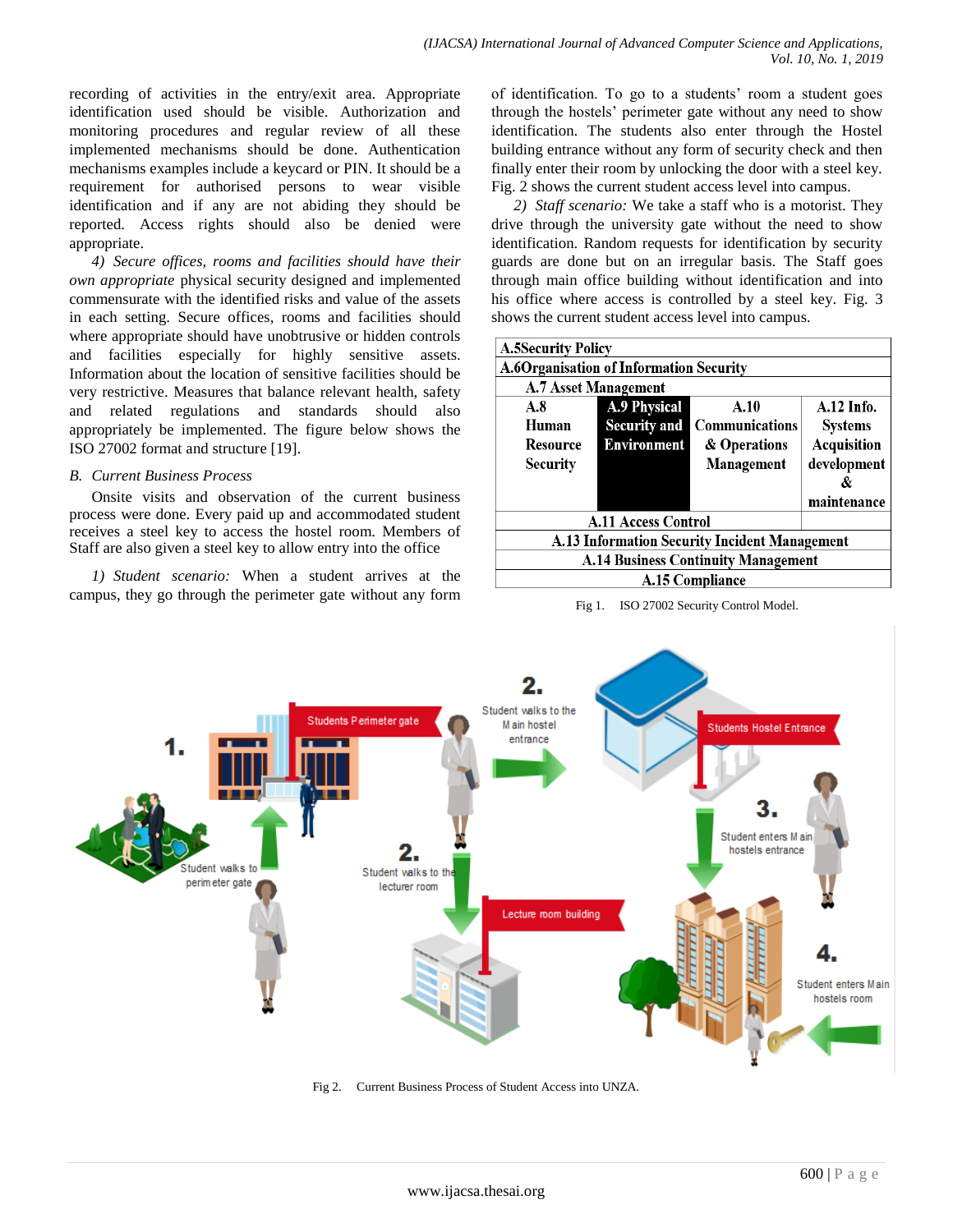recording of activities in the entry/exit area. Appropriate identification used should be visible. Authorization and monitoring procedures and regular review of all these implemented mechanisms should be done. Authentication mechanisms examples include a keycard or PIN. It should be a requirement for authorised persons to wear visible identification and if any are not abiding they should be reported. Access rights should also be denied were appropriate.

*4) Secure offices, rooms and facilities should have their own appropriate* physical security designed and implemented commensurate with the identified risks and value of the assets in each setting. Secure offices, rooms and facilities should where appropriate should have unobtrusive or hidden controls and facilities especially for highly sensitive assets. Information about the location of sensitive facilities should be very restrictive. Measures that balance relevant health, safety and related regulations and standards should also appropriately be implemented. The figure below shows the ISO 27002 format and structure [19].

#### *B. Current Business Process*

Onsite visits and observation of the current business process were done. Every paid up and accommodated student receives a steel key to access the hostel room. Members of Staff are also given a steel key to allow entry into the office

*1) Student scenario:* When a student arrives at the campus, they go through the perimeter gate without any form of identification. To go to a students' room a student goes through the hostels' perimeter gate without any need to show identification. The students also enter through the Hostel building entrance without any form of security check and then finally enter their room by unlocking the door with a steel key. Fig. 2 shows the current student access level into campus.

*2) Staff scenario:* We take a staff who is a motorist. They drive through the university gate without the need to show identification. Random requests for identification by security guards are done but on an irregular basis. The Staff goes through main office building without identification and into his office where access is controlled by a steel key. Fig. 3 shows the current student access level into campus.

| <b>A.5Security Policy</b>                     |                     |                       |                |
|-----------------------------------------------|---------------------|-----------------------|----------------|
| A.6Organisation of Information Security       |                     |                       |                |
| <b>A.7 Asset Management</b>                   |                     |                       |                |
| A.8                                           | <b>A.9 Physical</b> | A.10                  | $A.12$ Info.   |
| Human                                         | <b>Security and</b> | <b>Communications</b> | <b>Systems</b> |
| <b>Resource</b>                               | <b>Environment</b>  | & Operations          | Acquisition    |
| Security                                      |                     | Management            | development    |
|                                               |                     |                       | &              |
|                                               |                     |                       | maintenance    |
| <b>A.11 Access Control</b>                    |                     |                       |                |
| A.13 Information Security Incident Management |                     |                       |                |
| <b>A.14 Business Continuity Management</b>    |                     |                       |                |
| <b>A.15 Compliance</b>                        |                     |                       |                |
|                                               |                     |                       |                |





Fig 2. Current Business Process of Student Access into UNZA.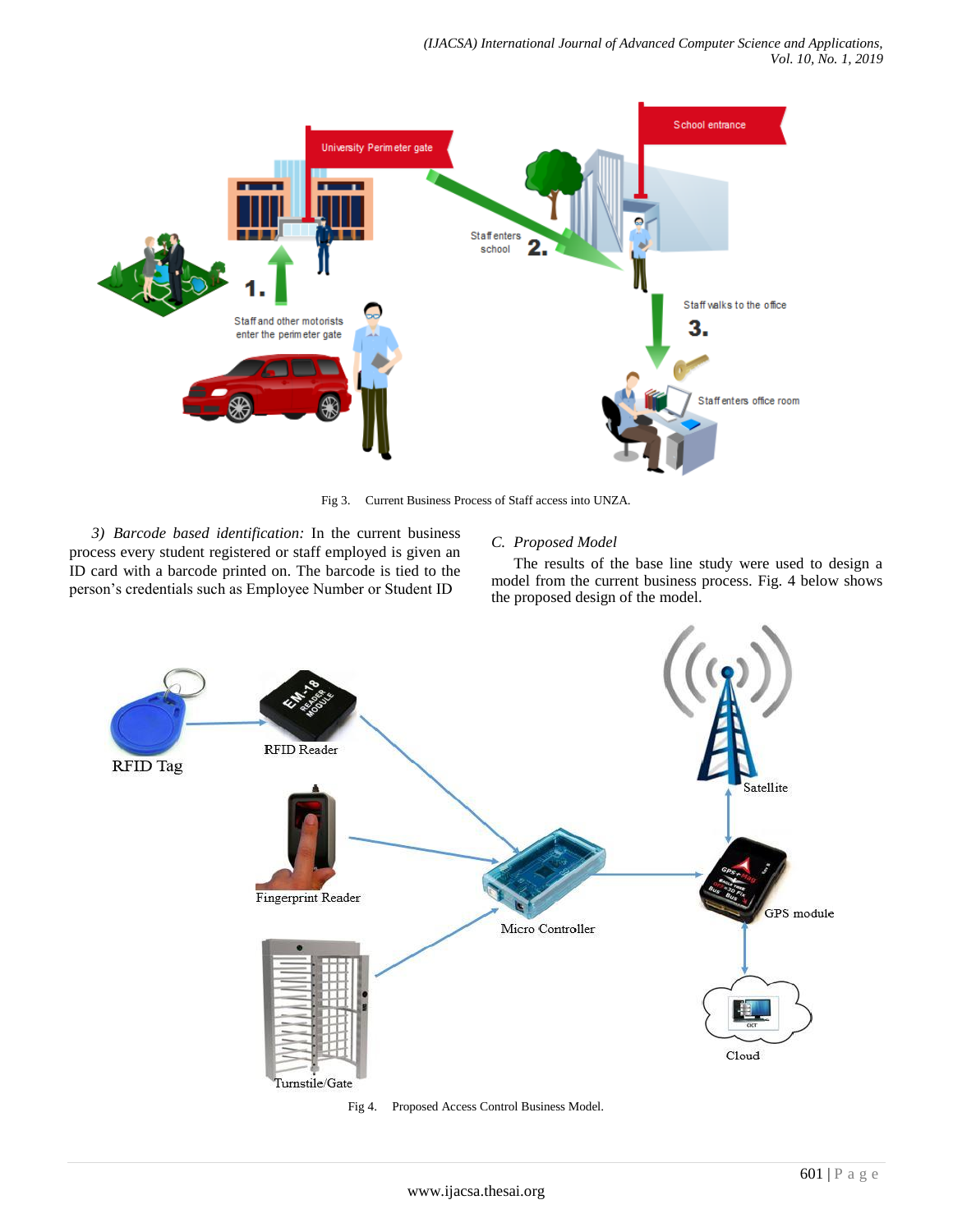

Fig 3. Current Business Process of Staff access into UNZA.

*3) Barcode based identification:* In the current business process every student registered or staff employed is given an ID card with a barcode printed on. The barcode is tied to the person's credentials such as Employee Number or Student ID

## *C. Proposed Model*

The results of the base line study were used to design a model from the current business process. Fig. 4 below shows the proposed design of the model.



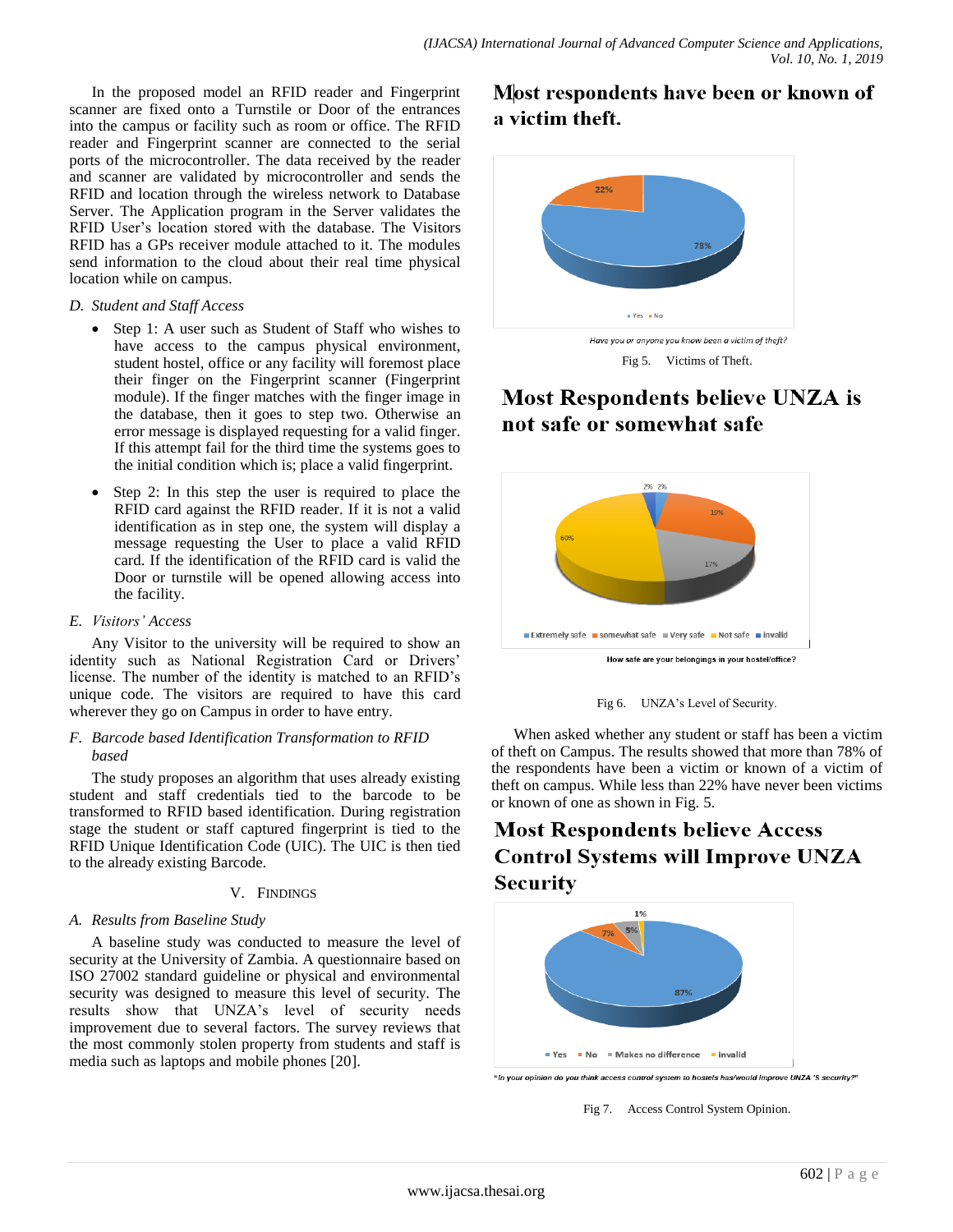In the proposed model an RFID reader and Fingerprint scanner are fixed onto a Turnstile or Door of the entrances into the campus or facility such as room or office. The RFID reader and Fingerprint scanner are connected to the serial ports of the microcontroller. The data received by the reader and scanner are validated by microcontroller and sends the RFID and location through the wireless network to Database Server. The Application program in the Server validates the RFID User's location stored with the database. The Visitors RFID has a GPs receiver module attached to it. The modules send information to the cloud about their real time physical location while on campus.

#### *D. Student and Staff Access*

- Step 1: A user such as Student of Staff who wishes to have access to the campus physical environment, student hostel, office or any facility will foremost place their finger on the Fingerprint scanner (Fingerprint module). If the finger matches with the finger image in the database, then it goes to step two. Otherwise an error message is displayed requesting for a valid finger. If this attempt fail for the third time the systems goes to the initial condition which is; place a valid fingerprint.
- Step 2: In this step the user is required to place the RFID card against the RFID reader. If it is not a valid identification as in step one, the system will display a message requesting the User to place a valid RFID card. If the identification of the RFID card is valid the Door or turnstile will be opened allowing access into the facility.

#### *E. Visitors' Access*

Any Visitor to the university will be required to show an identity such as National Registration Card or Drivers' license. The number of the identity is matched to an RFID's unique code. The visitors are required to have this card wherever they go on Campus in order to have entry.

#### *F. Barcode based Identification Transformation to RFID based*

The study proposes an algorithm that uses already existing student and staff credentials tied to the barcode to be transformed to RFID based identification. During registration stage the student or staff captured fingerprint is tied to the RFID Unique Identification Code (UIC). The UIC is then tied to the already existing Barcode.

#### V. FINDINGS

## *A. Results from Baseline Study*

A baseline study was conducted to measure the level of security at the University of Zambia. A questionnaire based on ISO 27002 standard guideline or physical and environmental security was designed to measure this level of security. The results show that UNZA's level of security needs improvement due to several factors. The survey reviews that the most commonly stolen property from students and staff is media such as laptops and mobile phones [20].

# Most respondents have been or known of a victim theft.



Fig 5. Victims of Theft.

# **Most Respondents believe UNZA is** not safe or somewhat safe



Fig 6. UNZA's Level of Security.

When asked whether any student or staff has been a victim of theft on Campus. The results showed that more than 78% of the respondents have been a victim or known of a victim of theft on campus. While less than 22% have never been victims or known of one as shown in Fig. 5.

# **Most Respondents believe Access Control Systems will Improve UNZA Security**



"In your opinion do you think access control system to hostels has/would improve UNZA 'S security?"

Fig 7. Access Control System Opinion.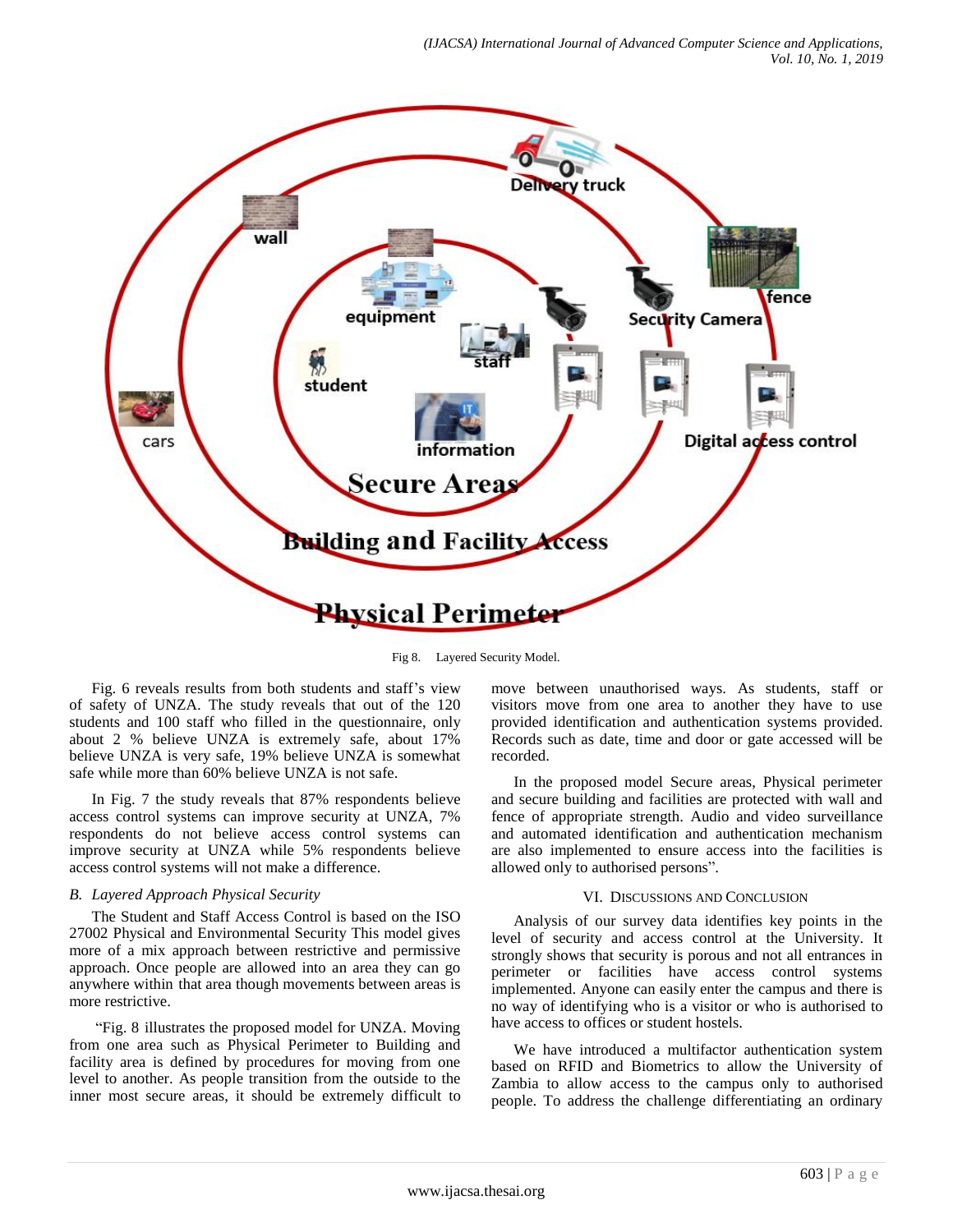

Fig 8. Layered Security Model.

Fig. 6 reveals results from both students and staff's view of safety of UNZA. The study reveals that out of the 120 students and 100 staff who filled in the questionnaire, only about 2 % believe UNZA is extremely safe, about 17% believe UNZA is very safe, 19% believe UNZA is somewhat safe while more than 60% believe UNZA is not safe.

In Fig. 7 the study reveals that 87% respondents believe access control systems can improve security at UNZA, 7% respondents do not believe access control systems can improve security at UNZA while 5% respondents believe access control systems will not make a difference.

#### *B. Layered Approach Physical Security*

The Student and Staff Access Control is based on the ISO 27002 Physical and Environmental Security This model gives more of a mix approach between restrictive and permissive approach. Once people are allowed into an area they can go anywhere within that area though movements between areas is more restrictive.

"Fig. 8 illustrates the proposed model for UNZA. Moving from one area such as Physical Perimeter to Building and facility area is defined by procedures for moving from one level to another. As people transition from the outside to the inner most secure areas, it should be extremely difficult to move between unauthorised ways. As students, staff or visitors move from one area to another they have to use provided identification and authentication systems provided. Records such as date, time and door or gate accessed will be recorded.

In the proposed model Secure areas, Physical perimeter and secure building and facilities are protected with wall and fence of appropriate strength. Audio and video surveillance and automated identification and authentication mechanism are also implemented to ensure access into the facilities is allowed only to authorised persons".

#### VI. DISCUSSIONS AND CONCLUSION

Analysis of our survey data identifies key points in the level of security and access control at the University. It strongly shows that security is porous and not all entrances in perimeter or facilities have access control systems implemented. Anyone can easily enter the campus and there is no way of identifying who is a visitor or who is authorised to have access to offices or student hostels.

We have introduced a multifactor authentication system based on RFID and Biometrics to allow the University of Zambia to allow access to the campus only to authorised people. To address the challenge differentiating an ordinary